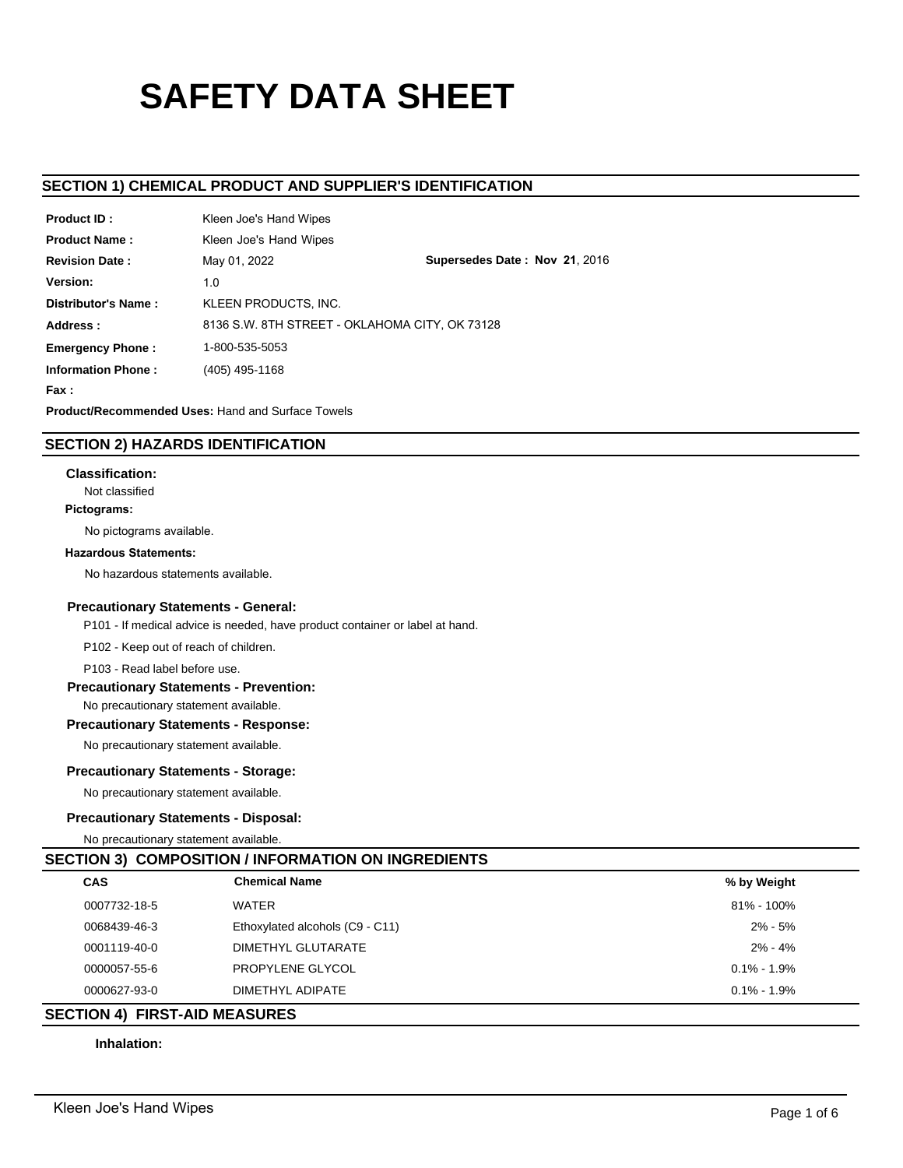# **SAFETY DATA SHEET**

# **SECTION 1) CHEMICAL PRODUCT AND SUPPLIER'S IDENTIFICATION**

| Product ID:               | Kleen Joe's Hand Wipes                                   |                                                |  |  |  |
|---------------------------|----------------------------------------------------------|------------------------------------------------|--|--|--|
| <b>Product Name:</b>      | Kleen Joe's Hand Wipes                                   |                                                |  |  |  |
| <b>Revision Date:</b>     | May 01, 2022                                             | Supersedes Date: Nov 21, 2016                  |  |  |  |
| Version:                  | 1.0                                                      |                                                |  |  |  |
| Distributor's Name:       | KLEEN PRODUCTS. INC.                                     |                                                |  |  |  |
| Address:                  |                                                          | 8136 S.W. 8TH STREET - OKLAHOMA CITY, OK 73128 |  |  |  |
| <b>Emergency Phone:</b>   | 1-800-535-5053                                           |                                                |  |  |  |
| <b>Information Phone:</b> | (405) 495-1168                                           |                                                |  |  |  |
| Fax :                     |                                                          |                                                |  |  |  |
|                           | <b>Product/Recommended Uses: Hand and Surface Towels</b> |                                                |  |  |  |

# **SECTION 2) HAZARDS IDENTIFICATION**

### **Classification:**

Not classified

# **Pictograms:**

No pictograms available.

### **Hazardous Statements:**

No hazardous statements available.

### **Precautionary Statements - General:**

P101 - If medical advice is needed, have product container or label at hand.

P102 - Keep out of reach of children.

P103 - Read label before use.

### **Precautionary Statements - Prevention:**

No precautionary statement available.

# **Precautionary Statements - Response:**

No precautionary statement available.

# **Precautionary Statements - Storage:**

No precautionary statement available.

# **Precautionary Statements - Disposal:**

No precautionary statement available.

# **SECTION 3) COMPOSITION / INFORMATION ON INGREDIENTS**

| <b>CAS</b>   | <b>Chemical Name</b>            | % by Weight     |  |
|--------------|---------------------------------|-----------------|--|
| 0007732-18-5 | WATER                           | 81% - 100%      |  |
| 0068439-46-3 | Ethoxylated alcohols (C9 - C11) | $2\% - 5\%$     |  |
| 0001119-40-0 | DIMETHYL GLUTARATE              | $2\% - 4\%$     |  |
| 0000057-55-6 | PROPYLENE GLYCOL                | $0.1\% - 1.9\%$ |  |
| 0000627-93-0 | DIMETHYL ADIPATE                | $0.1\% - 1.9\%$ |  |

# **SECTION 4) FIRST-AID MEASURES**

## **Inhalation:**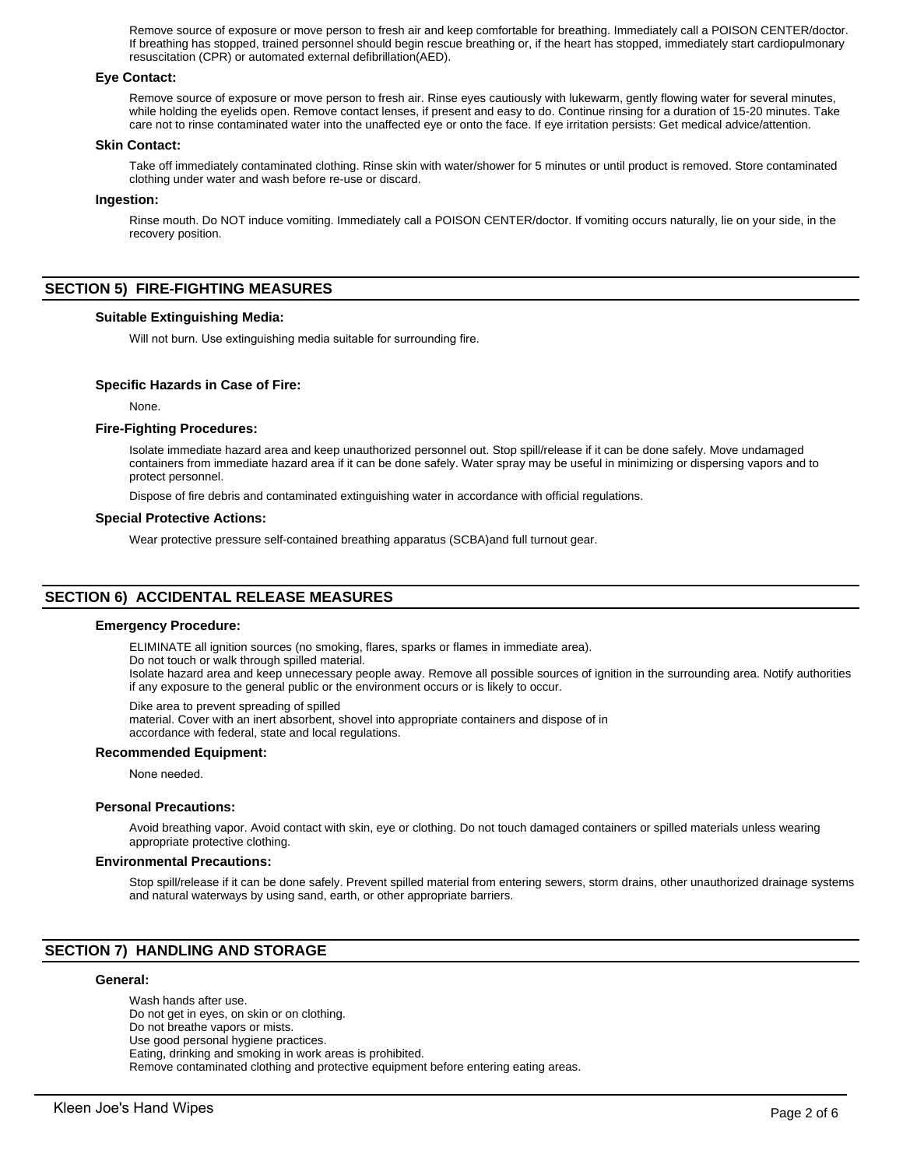Remove source of exposure or move person to fresh air and keep comfortable for breathing. Immediately call a POISON CENTER/doctor. If breathing has stopped, trained personnel should begin rescue breathing or, if the heart has stopped, immediately start cardiopulmonary resuscitation (CPR) or automated external defibrillation(AED).

### **Eye Contact:**

Remove source of exposure or move person to fresh air. Rinse eyes cautiously with lukewarm, gently flowing water for several minutes, while holding the eyelids open. Remove contact lenses, if present and easy to do. Continue rinsing for a duration of 15-20 minutes. Take care not to rinse contaminated water into the unaffected eye or onto the face. If eye irritation persists: Get medical advice/attention.

### **Skin Contact:**

Take off immediately contaminated clothing. Rinse skin with water/shower for 5 minutes or until product is removed. Store contaminated clothing under water and wash before re-use or discard.

### **Ingestion:**

Rinse mouth. Do NOT induce vomiting. Immediately call a POISON CENTER/doctor. If vomiting occurs naturally, lie on your side, in the recovery position.

# **SECTION 5) FIRE-FIGHTING MEASURES**

### **Suitable Extinguishing Media:**

Will not burn. Use extinguishing media suitable for surrounding fire.

### **Specific Hazards in Case of Fire:**

None.

### **Fire-Fighting Procedures:**

Isolate immediate hazard area and keep unauthorized personnel out. Stop spill/release if it can be done safely. Move undamaged containers from immediate hazard area if it can be done safely. Water spray may be useful in minimizing or dispersing vapors and to protect personnel.

Dispose of fire debris and contaminated extinguishing water in accordance with official regulations.

#### **Special Protective Actions:**

Wear protective pressure self-contained breathing apparatus (SCBA)and full turnout gear.

# **SECTION 6) ACCIDENTAL RELEASE MEASURES**

#### **Emergency Procedure:**

ELIMINATE all ignition sources (no smoking, flares, sparks or flames in immediate area).

Do not touch or walk through spilled material.

Isolate hazard area and keep unnecessary people away. Remove all possible sources of ignition in the surrounding area. Notify authorities if any exposure to the general public or the environment occurs or is likely to occur.

Dike area to prevent spreading of spilled

material. Cover with an inert absorbent, shovel into appropriate containers and dispose of in accordance with federal, state and local regulations.

### **Recommended Equipment:**

None needed.

#### **Personal Precautions:**

Avoid breathing vapor. Avoid contact with skin, eye or clothing. Do not touch damaged containers or spilled materials unless wearing appropriate protective clothing.

### **Environmental Precautions:**

Stop spill/release if it can be done safely. Prevent spilled material from entering sewers, storm drains, other unauthorized drainage systems and natural waterways by using sand, earth, or other appropriate barriers.

# **SECTION 7) HANDLING AND STORAGE**

### **General:**

Wash hands after use. Do not get in eyes, on skin or on clothing. Do not breathe vapors or mists. Use good personal hygiene practices. Eating, drinking and smoking in work areas is prohibited. Remove contaminated clothing and protective equipment before entering eating areas.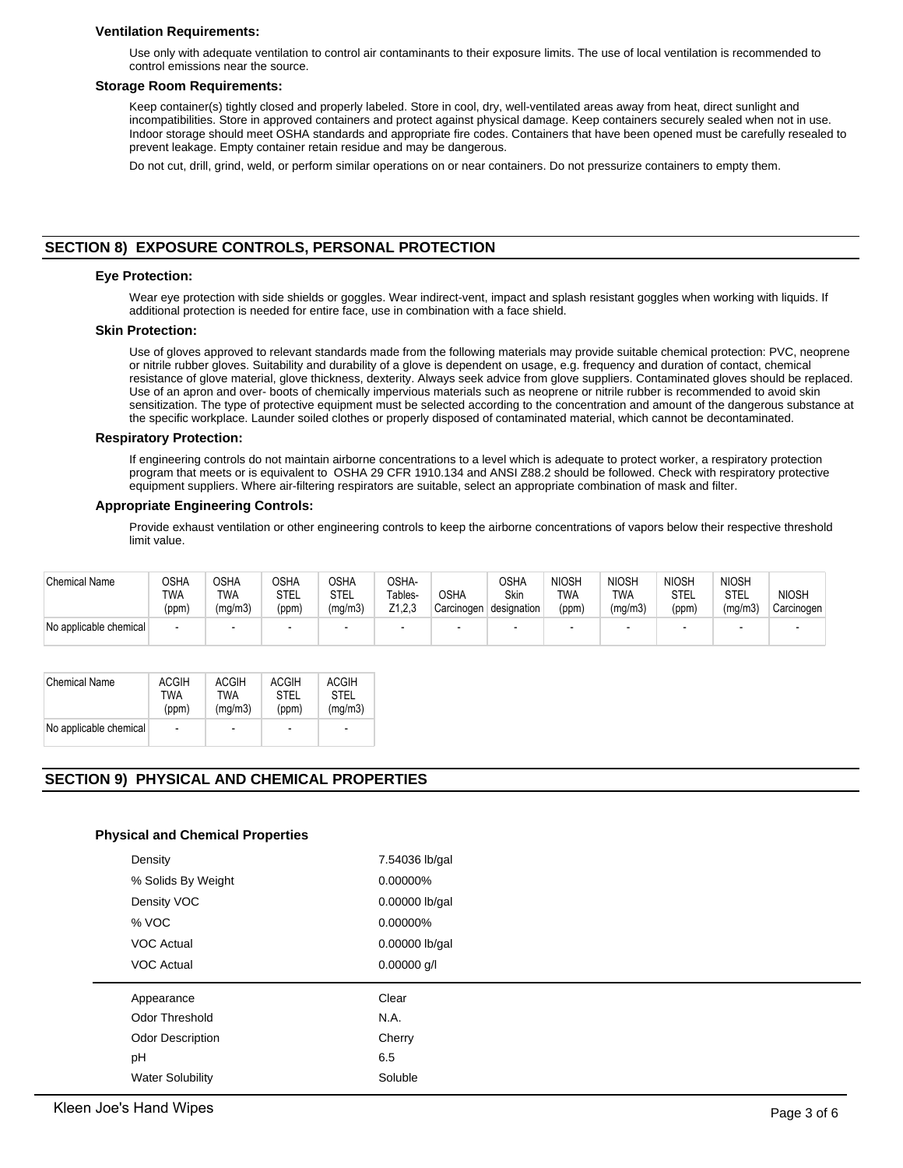### **Ventilation Requirements:**

Use only with adequate ventilation to control air contaminants to their exposure limits. The use of local ventilation is recommended to control emissions near the source.

### **Storage Room Requirements:**

Keep container(s) tightly closed and properly labeled. Store in cool, dry, well-ventilated areas away from heat, direct sunlight and incompatibilities. Store in approved containers and protect against physical damage. Keep containers securely sealed when not in use. Indoor storage should meet OSHA standards and appropriate fire codes. Containers that have been opened must be carefully resealed to prevent leakage. Empty container retain residue and may be dangerous.

Do not cut, drill, grind, weld, or perform similar operations on or near containers. Do not pressurize containers to empty them.

# **SECTION 8) EXPOSURE CONTROLS, PERSONAL PROTECTION**

### **Eye Protection:**

Wear eye protection with side shields or goggles. Wear indirect-vent, impact and splash resistant goggles when working with liquids. If additional protection is needed for entire face, use in combination with a face shield.

### **Skin Protection:**

Use of gloves approved to relevant standards made from the following materials may provide suitable chemical protection: PVC, neoprene or nitrile rubber gloves. Suitability and durability of a glove is dependent on usage, e.g. frequency and duration of contact, chemical resistance of glove material, glove thickness, dexterity. Always seek advice from glove suppliers. Contaminated gloves should be replaced. Use of an apron and over- boots of chemically impervious materials such as neoprene or nitrile rubber is recommended to avoid skin sensitization. The type of protective equipment must be selected according to the concentration and amount of the dangerous substance at the specific workplace. Launder soiled clothes or properly disposed of contaminated material, which cannot be decontaminated.

#### **Respiratory Protection:**

If engineering controls do not maintain airborne concentrations to a level which is adequate to protect worker, a respiratory protection program that meets or is equivalent to OSHA 29 CFR 1910.134 and ANSI Z88.2 should be followed. Check with respiratory protective equipment suppliers. Where air-filtering respirators are suitable, select an appropriate combination of mask and filter.

### **Appropriate Engineering Controls:**

Provide exhaust ventilation or other engineering controls to keep the airborne concentrations of vapors below their respective threshold limit value.

| <b>Chemical Name</b>   | OSHA<br>TWA<br>(ppm) | OSHA<br>TWA<br>(mg/m3) | <b>OSHA</b><br><b>STEL</b><br>(ppm) | OSHA<br>STEL<br>(mg/m3) | OSHA-<br>Tables-<br>Z1.2.3 | <b>OSHA</b><br>Carcinogen | <b>OSHA</b><br><b>Skin</b><br>designation | <b>NIOSH</b><br><b>TWA</b><br>(ppm) | <b>NIOSH</b><br>TWA<br>(mg/m3) | <b>NIOSH</b><br>STEL<br>(ppm) | <b>NIOSH</b><br>STEL<br>(mq/m3) | <b>NIOSH</b><br>Carcinogen |
|------------------------|----------------------|------------------------|-------------------------------------|-------------------------|----------------------------|---------------------------|-------------------------------------------|-------------------------------------|--------------------------------|-------------------------------|---------------------------------|----------------------------|
| No applicable chemical |                      | -                      |                                     |                         | $\overline{\phantom{0}}$   |                           |                                           |                                     |                                |                               |                                 |                            |

| <b>Chemical Name</b>   | <b>ACGIH</b>   | ACGIH                    | <b>ACGIH</b>   | <b>ACGIH</b>             |
|------------------------|----------------|--------------------------|----------------|--------------------------|
|                        | TWA            | TWA                      | STFI           | STFI                     |
|                        | (ppm)          | (mq/m3)                  | (ppm)          | (mq/m3)                  |
| No applicable chemical | $\blacksquare$ | $\overline{\phantom{a}}$ | $\blacksquare$ | $\overline{\phantom{a}}$ |

# **SECTION 9) PHYSICAL AND CHEMICAL PROPERTIES**

### **Physical and Chemical Properties**

| Density                 | 7.54036 lb/gal |
|-------------------------|----------------|
| % Solids By Weight      | 0.00000%       |
| Density VOC             | 0.00000 lb/gal |
| % VOC                   | 0.00000%       |
| <b>VOC Actual</b>       | 0.00000 lb/gal |
| <b>VOC Actual</b>       | $0.00000$ g/l  |
| Appearance              | Clear          |
| Odor Threshold          | N.A.           |
| <b>Odor Description</b> | Cherry         |
|                         |                |
| pH                      | 6.5            |
| <b>Water Solubility</b> | Soluble        |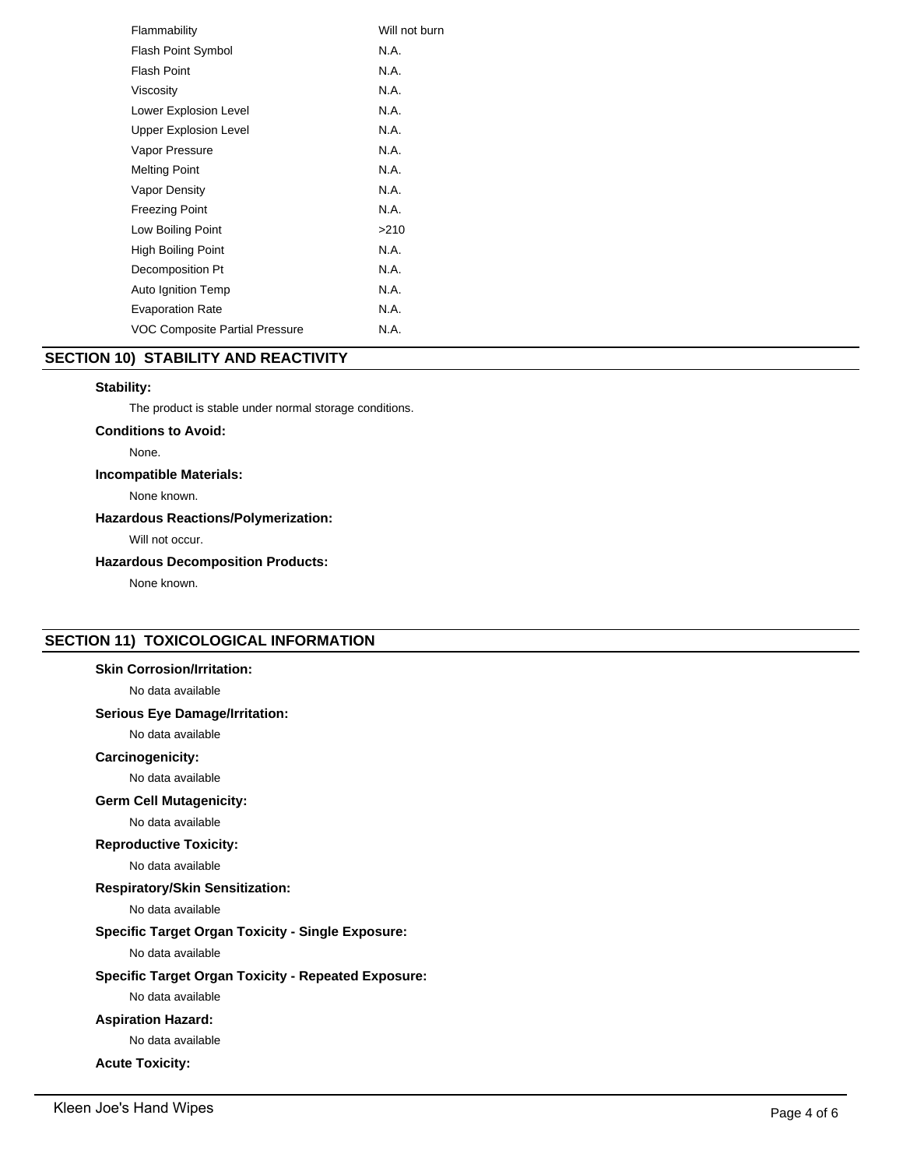| Flammability                          | Will not burn |
|---------------------------------------|---------------|
| <b>Flash Point Symbol</b>             | N.A.          |
| Flash Point                           | N.A.          |
| Viscosity                             | N.A.          |
| Lower Explosion Level                 | N.A.          |
| <b>Upper Explosion Level</b>          | N.A.          |
| Vapor Pressure                        | N.A.          |
| <b>Melting Point</b>                  | N.A.          |
| Vapor Density                         | N.A.          |
| <b>Freezing Point</b>                 | N.A.          |
| Low Boiling Point                     | >210          |
| High Boiling Point                    | N.A.          |
| Decomposition Pt                      | N.A.          |
| Auto Ignition Temp                    | N.A.          |
| <b>Evaporation Rate</b>               | N.A.          |
| <b>VOC Composite Partial Pressure</b> | N.A.          |
|                                       |               |

# **SECTION 10) STABILITY AND REACTIVITY**

# **Stability:**

The product is stable under normal storage conditions.

**Conditions to Avoid:**

None.

# **Incompatible Materials:**

None known.

# **Hazardous Reactions/Polymerization:**

Will not occur.

# **Hazardous Decomposition Products:**

None known.

# **SECTION 11) TOXICOLOGICAL INFORMATION**

# **Skin Corrosion/Irritation:**

No data available

# **Serious Eye Damage/Irritation:**

No data available

# **Carcinogenicity:**

No data available

# **Germ Cell Mutagenicity:**

No data available

# **Reproductive Toxicity:**

No data available

# **Respiratory/Skin Sensitization:**

No data available

# **Specific Target Organ Toxicity - Single Exposure:**

No data available

# **Specific Target Organ Toxicity - Repeated Exposure:**

No data available

# **Aspiration Hazard:**

No data available

# **Acute Toxicity:**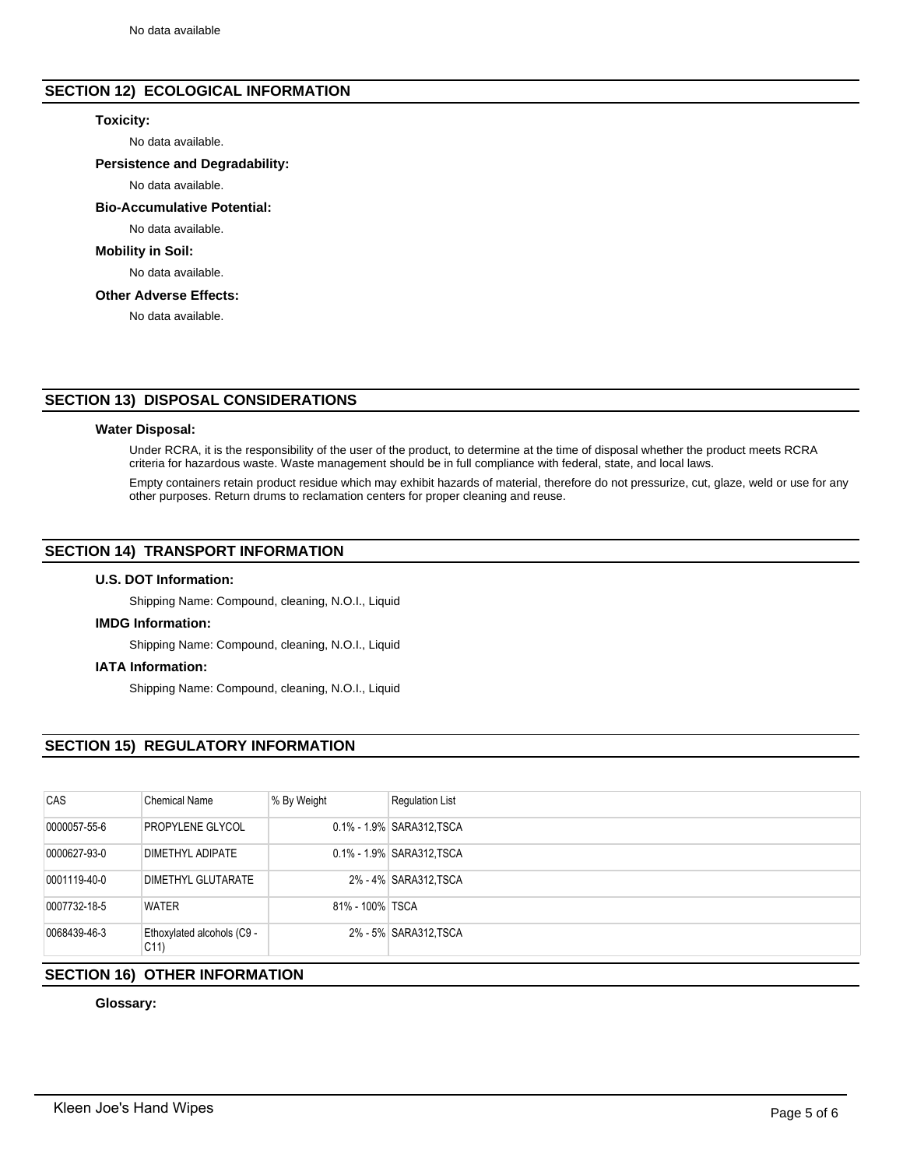# **SECTION 12) ECOLOGICAL INFORMATION**

### **Toxicity:**

No data available.

### **Persistence and Degradability:**

No data available.

### **Bio-Accumulative Potential:**

No data available.

# **Mobility in Soil:**

No data available.

## **Other Adverse Effects:**

No data available.

# **SECTION 13) DISPOSAL CONSIDERATIONS**

### **Water Disposal:**

Under RCRA, it is the responsibility of the user of the product, to determine at the time of disposal whether the product meets RCRA criteria for hazardous waste. Waste management should be in full compliance with federal, state, and local laws.

Empty containers retain product residue which may exhibit hazards of material, therefore do not pressurize, cut, glaze, weld or use for any other purposes. Return drums to reclamation centers for proper cleaning and reuse.

# **SECTION 14) TRANSPORT INFORMATION**

### **U.S. DOT Information:**

Shipping Name: Compound, cleaning, N.O.I., Liquid

### **IMDG Information:**

Shipping Name: Compound, cleaning, N.O.I., Liquid

### **IATA Information:**

Shipping Name: Compound, cleaning, N.O.I., Liquid

# **SECTION 15) REGULATORY INFORMATION**

| CAS          | <b>Chemical Name</b>                          | % By Weight     | <b>Regulation List</b>    |
|--------------|-----------------------------------------------|-----------------|---------------------------|
| 0000057-55-6 | PROPYLENE GLYCOL                              |                 | 0.1% - 1.9% SARA312, TSCA |
| 0000627-93-0 | DIMETHYL ADIPATE                              |                 | 0.1% - 1.9% SARA312, TSCA |
| 0001119-40-0 | DIMETHYL GLUTARATE                            |                 | 2% - 4% SARA312, TSCA     |
| 0007732-18-5 | <b>WATER</b>                                  | 81% - 100% TSCA |                           |
| 0068439-46-3 | Ethoxylated alcohols (C9 -<br>C <sub>11</sub> |                 | 2% - 5% SARA312, TSCA     |

# **SECTION 16) OTHER INFORMATION**

# **Glossary:**